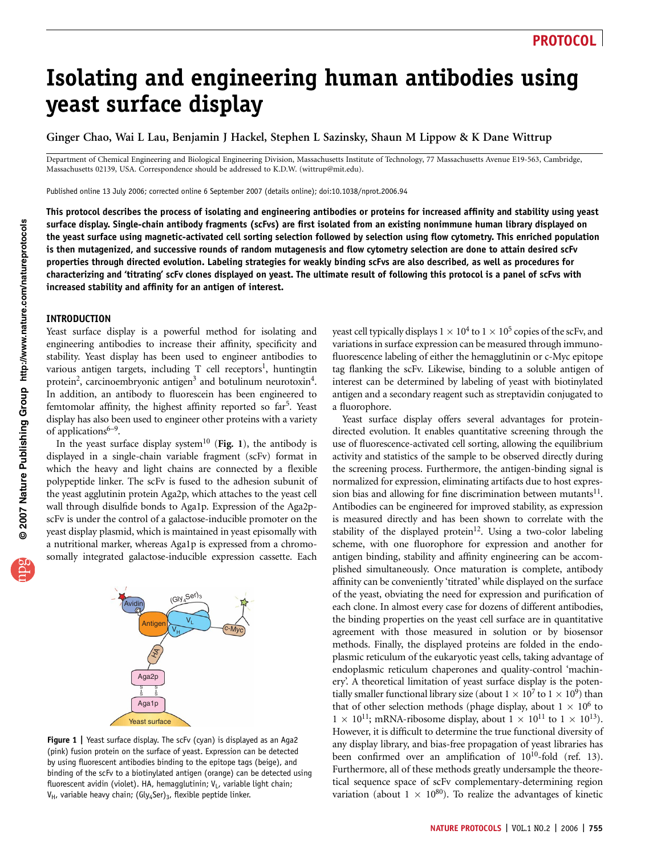# Isolating and engineering human antibodies using yeast surface display

Ginger Chao, Wai L Lau, Benjamin J Hackel, Stephen L Sazinsky, Shaun M Lippow & K Dane Wittrup

Department of Chemical Engineering and Biological Engineering Division, Massachusetts Institute of Technology, 77 Massachusetts Avenue E19-563, Cambridge, Massachusetts 02139, USA. Correspondence should be addressed to K.D.W. (wittrup@mit.edu).

Published online 13 July 2006; corrected online 6 September 2007 (details online); doi:10.1038/nprot.2006.94

This protocol describes the process of isolating and engineering antibodies or proteins for increased affinity and stability using yeast surface display. Single-chain antibody fragments (scFvs) are first isolated from an existing nonimmune human library displayed on the yeast surface using magnetic-activated cell sorting selection followed by selection using flow cytometry. This enriched population is then mutagenized, and successive rounds of random mutagenesis and flow cytometry selection are done to attain desired scFv properties through directed evolution. Labeling strategies for weakly binding scFvs are also described, as well as procedures for characterizing and 'titrating' scFv clones displayed on yeast. The ultimate result of following this protocol is a panel of scFvs with increased stability and affinity for an antigen of interest.

### INTRODUCTION

Yeast surface display is a powerful method for isolating and engineering antibodies to increase their affinity, specificity and stability. Yeast display has been used to engineer antibodies to various antigen targets, including  $T$  cell receptors<sup>1</sup>, huntingtin protein<sup>2</sup>, carcinoembryonic antigen<sup>3</sup> and botulinum neurotoxin<sup>4</sup>. In addition, an antibody to fluorescein has been engineered to femtomolar affinity, the highest affinity reported so  $far<sup>5</sup>$ . Yeast display has also been used to engineer other proteins with a variety of applications $6-9$ .

In the yeast surface display system<sup>10</sup> (Fig. 1), the antibody is displayed in a single-chain variable fragment (scFv) format in which the heavy and light chains are connected by a flexible polypeptide linker. The scFv is fused to the adhesion subunit of the yeast agglutinin protein Aga2p, which attaches to the yeast cell wall through disulfide bonds to Aga1p. Expression of the Aga2pscFv is under the control of a galactose-inducible promoter on the yeast display plasmid, which is maintained in yeast episomally with a nutritional marker, whereas Aga1p is expressed from a chromosomally integrated galactose-inducible expression cassette. Each



Figure 1 | Yeast surface display. The scFv (cyan) is displayed as an Aga2 (pink) fusion protein on the surface of yeast. Expression can be detected by using fluorescent antibodies binding to the epitope tags (beige), and binding of the scFv to a biotinylated antigen (orange) can be detected using fluorescent avidin (violet). HA, hemagglutinin;  $V_L$ , variable light chain;  $V_H$ , variable heavy chain; (Gly<sub>4</sub>Ser)<sub>3</sub>, flexible peptide linker.

yeast cell typically displays  $1 \times 10^4$  to  $1 \times 10^5$  copies of the scFv, and variations in surface expression can be measured through immunofluorescence labeling of either the hemagglutinin or c-Myc epitope tag flanking the scFv. Likewise, binding to a soluble antigen of interest can be determined by labeling of yeast with biotinylated antigen and a secondary reagent such as streptavidin conjugated to a fluorophore.

Yeast surface display offers several advantages for proteindirected evolution. It enables quantitative screening through the use of fluorescence-activated cell sorting, allowing the equilibrium activity and statistics of the sample to be observed directly during the screening process. Furthermore, the antigen-binding signal is normalized for expression, eliminating artifacts due to host expression bias and allowing for fine discrimination between mutants $11$ . Antibodies can be engineered for improved stability, as expression is measured directly and has been shown to correlate with the stability of the displayed protein<sup>12</sup>. Using a two-color labeling scheme, with one fluorophore for expression and another for antigen binding, stability and affinity engineering can be accomplished simultaneously. Once maturation is complete, antibody affinity can be conveniently 'titrated' while displayed on the surface of the yeast, obviating the need for expression and purification of each clone. In almost every case for dozens of different antibodies, the binding properties on the yeast cell surface are in quantitative agreement with those measured in solution or by biosensor methods. Finally, the displayed proteins are folded in the endoplasmic reticulum of the eukaryotic yeast cells, taking advantage of endoplasmic reticulum chaperones and quality-control 'machinery'. A theoretical limitation of yeast surface display is the potentially smaller functional library size (about  $1 \times 10^7$  to  $1 \times 10^9$ ) than that of other selection methods (phage display, about  $1 \times 10^6$  to  $1 \times 10^{11}$ ; mRNA-ribosome display, about  $1 \times 10^{11}$  to  $1 \times 10^{13}$ ). However, it is difficult to determine the true functional diversity of any display library, and bias-free propagation of yeast libraries has been confirmed over an amplification of  $10^{10}$ -fold (ref. 13). Furthermore, all of these methods greatly undersample the theoretical sequence space of scFv complementary-determining region variation (about  $1 \times 10^{80}$ ). To realize the advantages of kinetic

**w w//: ptt h**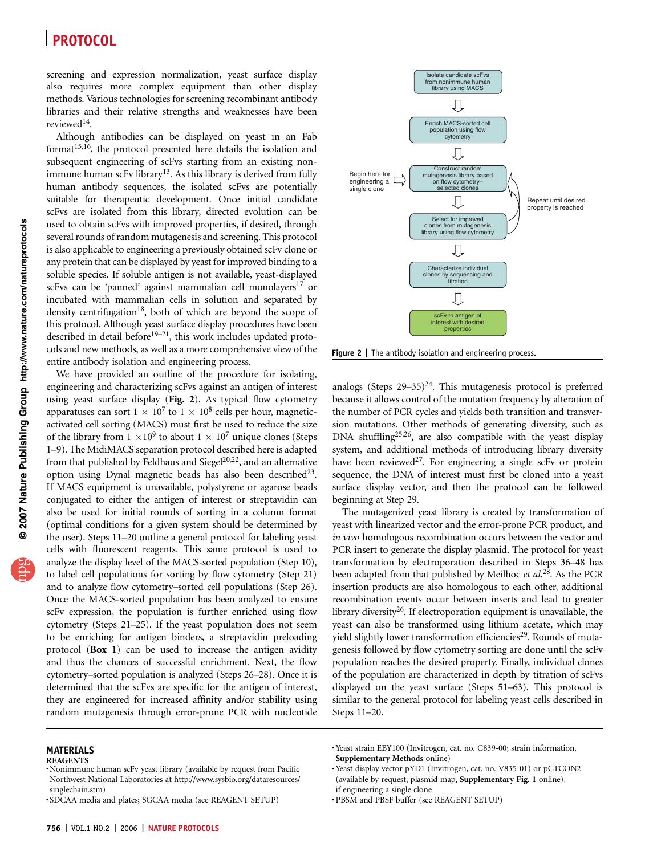screening and expression normalization, yeast surface display also requires more complex equipment than other display methods. Various technologies for screening recombinant antibody libraries and their relative strengths and weaknesses have been reviewed<sup>14</sup>.

Although antibodies can be displayed on yeast in an Fab format<sup>15,16</sup>, the protocol presented here details the isolation and subsequent engineering of scFvs starting from an existing nonimmune human scFv library<sup>13</sup>. As this library is derived from fully human antibody sequences, the isolated scFvs are potentially suitable for therapeutic development. Once initial candidate scFvs are isolated from this library, directed evolution can be used to obtain scFvs with improved properties, if desired, through several rounds of random mutagenesis and screening. This protocol is also applicable to engineering a previously obtained scFv clone or any protein that can be displayed by yeast for improved binding to a soluble species. If soluble antigen is not available, yeast-displayed scFvs can be 'panned' against mammalian cell monolayers<sup>17</sup> or incubated with mammalian cells in solution and separated by density centrifugation<sup>18</sup>, both of which are beyond the scope of this protocol. Although yeast surface display procedures have been described in detail before<sup>19–21</sup>, this work includes updated protocols and new methods, as well as a more comprehensive view of the entire antibody isolation and engineering process.

We have provided an outline of the procedure for isolating, engineering and characterizing scFvs against an antigen of interest using yeast surface display (Fig. 2). As typical flow cytometry apparatuses can sort  $1 \times 10^7$  to  $1 \times 10^8$  cells per hour, magneticactivated cell sorting (MACS) must first be used to reduce the size of the library from  $1 \times 10^9$  to about  $1 \times 10^7$  unique clones (Steps 1–9). The MidiMACS separation protocol described here is adapted from that published by Feldhaus and Siegel<sup>20,22</sup>, and an alternative option using Dynal magnetic beads has also been described $^{23}$ . If MACS equipment is unavailable, polystyrene or agarose beads conjugated to either the antigen of interest or streptavidin can also be used for initial rounds of sorting in a column format (optimal conditions for a given system should be determined by the user). Steps 11–20 outline a general protocol for labeling yeast cells with fluorescent reagents. This same protocol is used to analyze the display level of the MACS-sorted population (Step 10), to label cell populations for sorting by flow cytometry (Step 21) and to analyze flow cytometry–sorted cell populations (Step 26). Once the MACS-sorted population has been analyzed to ensure scFv expression, the population is further enriched using flow cytometry (Steps 21–25). If the yeast population does not seem to be enriching for antigen binders, a streptavidin preloading protocol (Box 1) can be used to increase the antigen avidity and thus the chances of successful enrichment. Next, the flow cytometry–sorted population is analyzed (Steps 26–28). Once it is determined that the scFvs are specific for the antigen of interest, they are engineered for increased affinity and/or stability using random mutagenesis through error-prone PCR with nucleotide



**Figure 2** | The antibody isolation and engineering process.

analogs (Steps  $29-35$ )<sup>24</sup>. This mutagenesis protocol is preferred because it allows control of the mutation frequency by alteration of the number of PCR cycles and yields both transition and transversion mutations. Other methods of generating diversity, such as DNA shuffling25,26, are also compatible with the yeast display system, and additional methods of introducing library diversity have been reviewed<sup>27</sup>. For engineering a single scFv or protein sequence, the DNA of interest must first be cloned into a yeast surface display vector, and then the protocol can be followed beginning at Step 29.

The mutagenized yeast library is created by transformation of yeast with linearized vector and the error-prone PCR product, and in vivo homologous recombination occurs between the vector and PCR insert to generate the display plasmid. The protocol for yeast transformation by electroporation described in Steps 36–48 has been adapted from that published by Meilhoc et al.<sup>28</sup>. As the PCR insertion products are also homologous to each other, additional recombination events occur between inserts and lead to greater library diversity<sup>26</sup>. If electroporation equipment is unavailable, the yeast can also be transformed using lithium acetate, which may yield slightly lower transformation efficiencies<sup>29</sup>. Rounds of mutagenesis followed by flow cytometry sorting are done until the scFv population reaches the desired property. Finally, individual clones of the population are characterized in depth by titration of scFvs displayed on the yeast surface (Steps 51–63). This protocol is similar to the general protocol for labeling yeast cells described in Steps 11–20.

### MATERIALS

- .Yeast strain EBY100 (Invitrogen, cat. no. C839-00; strain information, Supplementary Methods online)<br>
Yeast display vector pYD1 (Invitrogen, cat. no. V835-01) or pCTCON2
- (available by request; plasmid map, Supplementary Fig. 1 online), if engineering a single clone
- .PBSM and PBSF buffer (see REAGENT SETUP)

REAGENTS

<sup>.</sup>Nonimmune human scFv yeast library (available by request from Pacific Northwest National Laboratories at http://www.sysbio.org/dataresources/ singlechain.stm)

<sup>.</sup>SDCAA media and plates; SGCAA media (see REAGENT SETUP)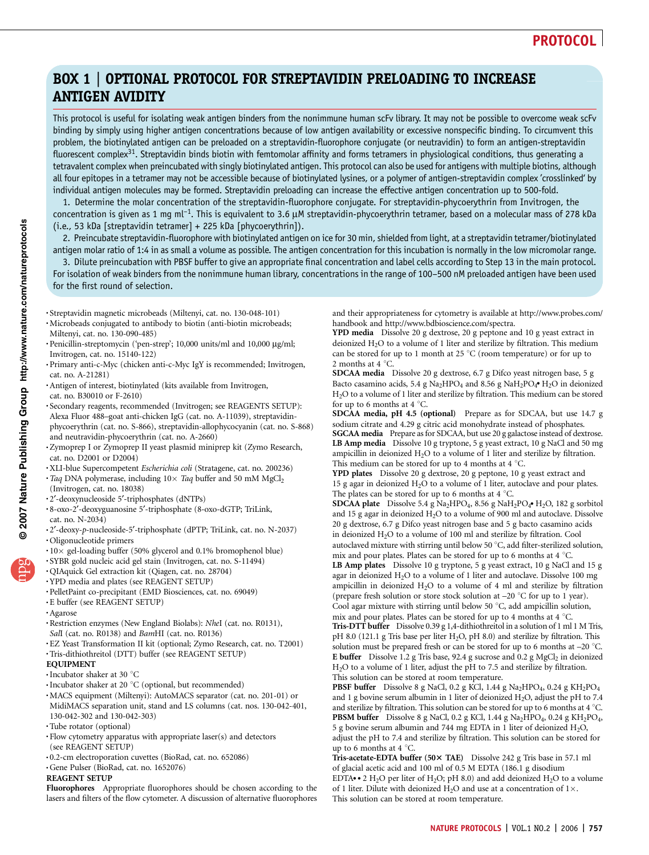# BOX 1 | OPTIONAL PROTOCOL FOR STREPTAVIDIN PRELOADING TO INCREASE ANTIGEN AVIDITY

This protocol is useful for isolating weak antigen binders from the nonimmune human scFv library. It may not be possible to overcome weak scFv binding by simply using higher antigen concentrations because of low antigen availability or excessive nonspecific binding. To circumvent this problem, the biotinylated antigen can be preloaded on a streptavidin-fluorophore conjugate (or neutravidin) to form an antigen-streptavidin fluorescent complex<sup>31</sup>. Streptavidin binds biotin with femtomolar affinity and forms tetramers in physiological conditions, thus generating a tetravalent complex when preincubated with singly biotinylated antigen. This protocol can also be used for antigens with multiple biotins, although all four epitopes in a tetramer may not be accessible because of biotinylated lysines, or a polymer of antigen-streptavidin complex 'crosslinked' by individual antigen molecules may be formed. Streptavidin preloading can increase the effective antigen concentration up to 500-fold.

1. Determine the molar concentration of the streptavidin-fluorophore conjugate. For streptavidin-phycoerythrin from Invitrogen, the concentration is given as 1 mg ml<sup>-1</sup>. This is equivalent to 3.6  $\mu$ M streptavidin-phycoerythrin tetramer, based on a molecular mass of 278 kDa (i.e., 53 kDa [streptavidin tetramer] + 225 kDa [phycoerythrin]).

2. Preincubate streptavidin-fluorophore with biotinylated antigen on ice for 30 min, shielded from light, at a streptavidin tetramer/biotinylated antigen molar ratio of 1:4 in as small a volume as possible. The antigen concentration for this incubation is normally in the low micromolar range.

3. Dilute preincubation with PBSF buffer to give an appropriate final concentration and label cells according to Step 13 in the main protocol. For isolation of weak binders from the nonimmune human library, concentrations in the range of 100–500 nM preloaded antigen have been used for the first round of selection.

.Streptavidin magnetic microbeads (Miltenyi, cat. no. 130-048-101)

- .Microbeads conjugated to antibody to biotin (anti-biotin microbeads; Miltenyi, cat. no. 130-090-485)
- · Penicillin-streptomycin ('pen-strep'; 10,000 units/ml and 10,000 µg/ml; Invitrogen, cat. no. 15140-122)
- .Primary anti-c-Myc (chicken anti-c-Myc IgY is recommended; Invitrogen, cat. no. A-21281)
- .Antigen of interest, biotinylated (kits available from Invitrogen,
- cat. no. B30010 or F-2610)
- .Secondary reagents, recommended (Invitrogen; see REAGENTS SETUP): Alexa Fluor 488–goat anti-chicken IgG (cat. no. A-11039), streptavidinphycoerythrin (cat. no. S-866), streptavidin-allophycocyanin (cat. no. S-868) and neutravidin-phycoerythrin (cat. no. A-2660)
- .Zymoprep I or Zymoprep II yeast plasmid miniprep kit (Zymo Research, cat. no. D2001 or D2004)
- $\cdot$ XLI-blue Supercompetent *Escherichia coli* (Stratagene, cat. no. 200236)  $\cdot$  Taq DNA polymerase, including 10 $\times$  Taq buffer and 50 mM MgCl<sub>2</sub>
- (Invitrogen, cat. no. 18038)
- 
- .2¢-deoxynucleoside 5¢-triphosphates (dNTPs) .8-oxo-2¢-deoxyguanosine 5¢-triphosphate (8-oxo-dGTP; TriLink, cat. no. N-2034)
- -2′-deoxy-p-nucleoside-5′-triphosphate (dPTP; TriLink, cat. no. N-2037)  $\cdot$  Oligonucleotide primers
- .10 gel-loading buffer (50% glycerol and 0.1% bromophenol blue) .SYBR gold nucleic acid gel stain (Invitrogen, cat. no. S-11494)
- 
- .QIAquick Gel extraction kit (Qiagen, cat. no. 28704)
- .YPD media and plates (see REAGENT SETUP)
- .PelletPaint co-precipitant (EMD Biosciences, cat. no. 69049)
- .E buffer (see REAGENT SETUP)
- .Agarose
- $\bullet$  Restriction enzymes (New England Biolabs): NheI (cat. no. R0131), SaII (cat. no. R0138) and BamHI (cat. no. R0136)
- · EZ Yeast Transformation II kit (optional; Zymo Research, cat. no. T2001)
- .Tris-dithiothreitol (DTT) buffer (see REAGENT SETUP)
- EQUIPMENT
- 
- 
- •Incubator shaker at 30 °C<br>•Incubator shaker at 20 °C (optional, but recommended)<br>•MACS equipment (Miltenyi): AutoMACS separator (cat. no. 201-01) or MidiMACS separation unit, stand and LS columns (cat. nos. 130-042-401, 130-042-302 and 130-042-303)
- .Tube rotator (optional)
- .Flow cytometry apparatus with appropriate laser(s) and detectors (see REAGENT SETUP)
- .0.2-cm electroporation cuvettes (BioRad, cat. no. 652086)
- .Gene Pulser (BioRad, cat. no. 1652076)

### REAGENT SETUP

Fluorophores Appropriate fluorophores should be chosen according to the lasers and filters of the flow cytometer. A discussion of alternative fluorophores

and their appropriateness for cytometry is available at http://www.probes.com/ handbook and http://www.bdbioscience.com/spectra.

YPD media Dissolve 20 g dextrose, 20 g peptone and 10 g yeast extract in deionized  $H_2O$  to a volume of 1 liter and sterilize by filtration. This medium can be stored for up to 1 month at 25  $^{\circ}$ C (room temperature) or for up to 2 months at 4  $^{\circ}$ C.

SDCAA media Dissolve 20 g dextrose, 6.7 g Difco yeast nitrogen base, 5 g **SDCAA media** Dissolve 20 g dextrose, 6.7 g Ditco yeast nitrogen base, 5 g<br>Bacto casamino acids, 5.4 g Na<sub>2</sub>HPO<sub>4</sub> and 8.56 g NaH<sub>2</sub>PO<sub>4</sub>• H<sub>2</sub>O in deionized<br>H-O to a volume of 1 liter and sterilize by filtration. This me H2O to a volume of 1 liter and sterilize by filtration. This medium can be stored for up to 6 months at  $4^{\circ}$ C.

SDCAA media, pH 4.5 (optional) Prepare as for SDCAA, but use 14.7 g sodium citrate and 4.29 g citric acid monohydrate instead of phosphates. SGCAA media Prepare as for SDCAA, but use 20 g galactose instead of dextrose. LB Amp media Dissolve 10 g tryptone, 5 g yeast extract, 10 g NaCl and 50 mg ampicillin in deionized  $H_2O$  to a volume of 1 liter and sterilize by filtration. This medium can be stored for up to 4 months at 4  $\degree$ C.

YPD plates Dissolve 20 g dextrose, 20 g peptone, 10 g yeast extract and 15 g agar in deionized  $H_2O$  to a volume of 1 liter, autoclave and pour plates. The plates can be stored for up to 6 months at 4  $^{\circ}$ C.

The plates can be stored tor up to 6 months at 4 °C.<br>**SDCAA plate** Dissolve 5.4 g Na<sub>2</sub>HPO<sub>4</sub>, 8.56 g NaH<sub>2</sub>PO<sub>4</sub>• H<sub>2</sub>O, 182 g sorbitol<br>and 15 g agar in dejonized H-O to a volume of 900 ml and autoclave Dissolve and 15 g agar in deionized  $H_2O$  to a volume of 900 ml and autoclave. Dissolve 20 g dextrose, 6.7 g Difco yeast nitrogen base and 5 g bacto casamino acids in deionized  $H_2O$  to a volume of 100 ml and sterilize by filtration. Cool autoclaved mixture with stirring until below 50  $\degree$ C, add filter-sterilized solution,

mix and pour plates. Plates can be stored for up to 6 months at 4  $^{\circ}$ C. LB Amp plates Dissolve 10 g tryptone, 5 g yeast extract, 10 g NaCl and 15 g agar in deionized  $H_2O$  to a volume of 1 liter and autoclave. Dissolve 100 mg ampicillin in deionized  $H_2O$  to a volume of 4 ml and sterilize by filtration (prepare fresh solution or store stock solution at  $-20$  °C for up to 1 year). Cool agar mixture with stirring until below 50  $\degree$ C, add ampicillin solution,

mix and pour plates. Plates can be stored for up to 4 months at 4  $^{\circ}$ C. Tris-DTT buffer Dissolve 0.39 g 1,4-dithiothreitol in a solution of 1 ml 1 M Tris, pH 8.0 (121.1 g Tris base per liter  $H<sub>2</sub>O$ , pH 8.0) and sterilize by filtration. This solution must be prepared fresh or can be stored for up to 6 months at  $-20$  °C. E buffer Dissolve 1.2 g Tris base, 92.4 g sucrose and 0.2 g  $MgCl<sub>2</sub>$  in deionized H2O to a volume of 1 liter, adjust the pH to 7.5 and sterilize by filtration. This solution can be stored at room temperature.

PBSF buffer Dissolve 8 g NaCl, 0.2 g KCl, 1.44 g Na<sub>2</sub>HPO<sub>4</sub>, 0.24 g KH<sub>2</sub>PO<sub>4</sub> and 1 g bovine serum albumin in 1 liter of deionized  $H_2O$ , adjust the pH to 7.4 and sterilize by filtration. This solution can be stored for up to 6 months at 4  $^{\circ}$ C. PBSM buffer Dissolve 8 g NaCl, 0.2 g KCl, 1.44 g Na<sub>2</sub>HPO<sub>4</sub>, 0.24 g KH<sub>2</sub>PO<sub>4</sub>, 5 g bovine serum albumin and 744 mg EDTA in 1 liter of deionized  $H_2O$ , adjust the pH to 7.4 and sterilize by filtration. This solution can be stored for up to 6 months at  $4^{\circ}$ C.

Tris-acetate-EDTA buffer (50*3* TAE) Dissolve 242 g Tris base in 57.1 ml of glacial acetic acid and 100 ml of 0.5 M EDTA (186.1 g disodium ot glacial acetic acid and 100 ml of 0.5 M EDIA (186.1 g disodium<br>EDTA••2 H2O per liter of H2O; pH 8.0) and add deionized H2O to a volume<br>of 1 liter Dilute with deionized H2O and use at a concentration of 1× of 1 liter. Dilute with deionized H<sub>2</sub>O and use at a concentration of  $1 \times$ . This solution can be stored at room temperature.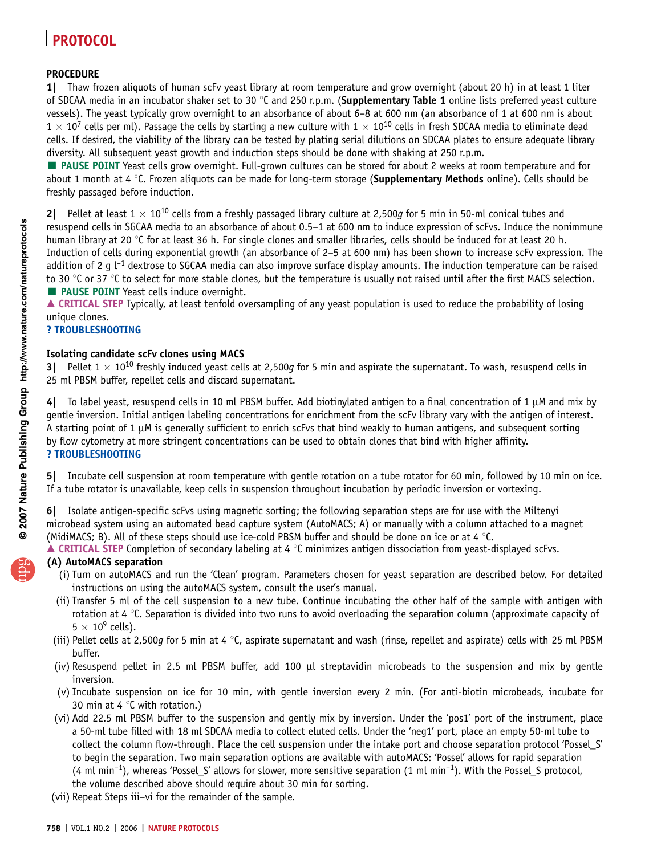### **PROCEDURE**

1| Thaw frozen aliquots of human scFv yeast library at room temperature and grow overnight (about 20 h) in at least 1 liter of SDCAA media in an incubator shaker set to 30  $\degree$ C and 250 r.p.m. (Supplementary Table 1 online lists preferred yeast culture vessels). The yeast typically grow overnight to an absorbance of about 6–8 at 600 nm (an absorbance of 1 at 600 nm is about  $1 \times 10^7$  cells per ml). Passage the cells by starting a new culture with  $1 \times 10^{10}$  cells in fresh SDCAA media to eliminate dead cells. If desired, the viability of the library can be tested by plating serial dilutions on SDCAA plates to ensure adequate library diversity. All subsequent yeast growth and induction steps should be done with shaking at 250 r.p.m.

**PAUSE POINT** Yeast cells grow overnight. Full-grown cultures can be stored for about 2 weeks at room temperature and for about 1 month at 4  $\degree$ C. Frozen aliquots can be made for long-term storage (Supplementary Methods online). Cells should be freshly passaged before induction.

2| Pellet at least  $1 \times 10^{10}$  cells from a freshly passaged library culture at 2,500g for 5 min in 50-ml conical tubes and resuspend cells in SGCAA media to an absorbance of about 0.5–1 at 600 nm to induce expression of scFvs. Induce the nonimmune human library at 20 °C for at least 36 h. For single clones and smaller libraries, cells should be induced for at least 20 h. Induction of cells during exponential growth (an absorbance of 2–5 at 600 nm) has been shown to increase scFv expression. The addition of 2 g  $\lfloor -1 \rfloor$  dextrose to SGCAA media can also improve surface display amounts. The induction temperature can be raised to 30  $\degree$ C or 37  $\degree$ C to select for more stable clones, but the temperature is usually not raised until after the first MACS selection. **PAUSE POINT** Yeast cells induce overnight.

▲ CRITICAL STEP Typically, at least tenfold oversampling of any yeast population is used to reduce the probability of losing unique clones.

### ? TROUBLESHOOTING

### Isolating candidate scFv clones using MACS

Pellet 1  $\times$  10<sup>10</sup> freshly induced yeast cells at 2,500g for 5 min and aspirate the supernatant. To wash, resuspend cells in 25 ml PBSM buffer, repellet cells and discard supernatant.

To label yeast, resuspend cells in 10 ml PBSM buffer. Add biotinylated antigen to a final concentration of 1  $\mu$ M and mix by gentle inversion. Initial antigen labeling concentrations for enrichment from the scFv library vary with the antigen of interest. A starting point of 1  $\mu$ M is generally sufficient to enrich scFvs that bind weakly to human antigens, and subsequent sorting by flow cytometry at more stringent concentrations can be used to obtain clones that bind with higher affinity. ? TROUBLESHOOTING

Incubate cell suspension at room temperature with gentle rotation on a tube rotator for 60 min, followed by 10 min on ice. If a tube rotator is unavailable, keep cells in suspension throughout incubation by periodic inversion or vortexing.

6| Isolate antigen-specific scFvs using magnetic sorting; the following separation steps are for use with the Miltenyi microbead system using an automated bead capture system (AutoMACS; A) or manually with a column attached to a magnet (MidiMACS; B). All of these steps should use ice-cold PBSM buffer and should be done on ice or at 4  $°C$ .

 $\blacktriangle$  CRITICAL STEP Completion of secondary labeling at 4 °C minimizes antigen dissociation from yeast-displayed scFvs.

### (A) AutoMACS separation

- (i) Turn on autoMACS and run the 'Clean' program. Parameters chosen for yeast separation are described below. For detailed instructions on using the autoMACS system, consult the user's manual.
- (ii) Transfer 5 ml of the cell suspension to a new tube. Continue incubating the other half of the sample with antigen with rotation at 4  $\degree$ C. Separation is divided into two runs to avoid overloading the separation column (approximate capacity of  $5 \times 10^9$  cells).
- (iii) Pellet cells at 2,500g for 5 min at 4  $\degree$ C, aspirate supernatant and wash (rinse, repellet and aspirate) cells with 25 ml PBSM buffer.
- (iv) Resuspend pellet in 2.5 ml PBSM buffer, add 100  $\mu$ l streptavidin microbeads to the suspension and mix by gentle inversion.
- (v) Incubate suspension on ice for 10 min, with gentle inversion every 2 min. (For anti-biotin microbeads, incubate for 30 min at 4  $\degree$ C with rotation.)
- (vi) Add 22.5 ml PBSM buffer to the suspension and gently mix by inversion. Under the 'pos1' port of the instrument, place a 50-ml tube filled with 18 ml SDCAA media to collect eluted cells. Under the 'neg1' port, place an empty 50-ml tube to collect the column flow-through. Place the cell suspension under the intake port and choose separation protocol 'Possel\_S' to begin the separation. Two main separation options are available with autoMACS: 'Possel' allows for rapid separation  $(4 \text{ ml min}^{-1})$ , whereas 'Possel\_S' allows for slower, more sensitive separation  $(1 \text{ ml min}^{-1})$ . With the Possel\_S protocol, the volume described above should require about 30 min for sorting.
- (vii) Repeat Steps iii–vi for the remainder of the sample.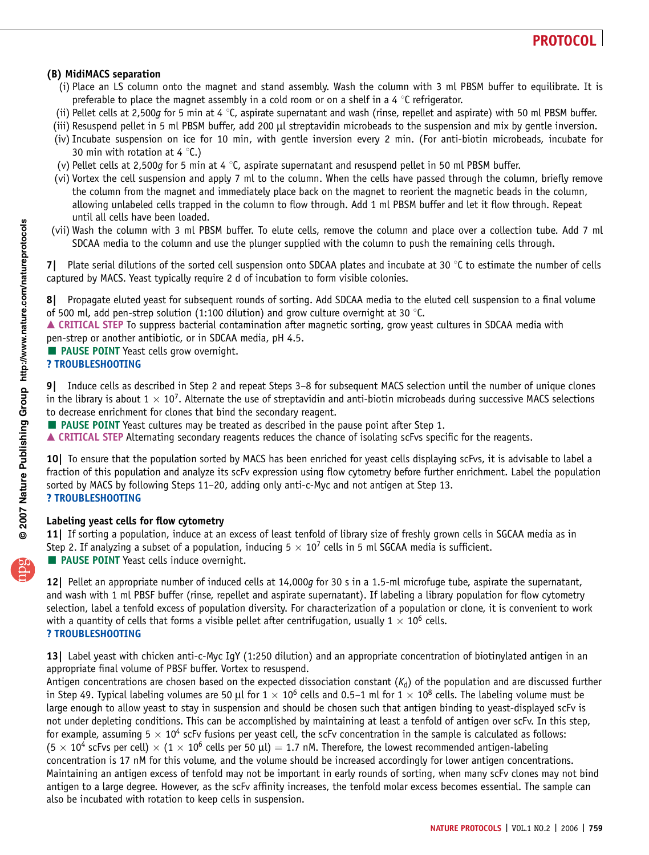### (B) MidiMACS separation

- (i) Place an LS column onto the magnet and stand assembly. Wash the column with 3 ml PBSM buffer to equilibrate. It is preferable to place the magnet assembly in a cold room or on a shelf in a 4  $\degree$ C refrigerator.
- (ii) Pellet cells at 2,500q for 5 min at 4  $\degree$ C, aspirate supernatant and wash (rinse, repellet and aspirate) with 50 ml PBSM buffer.
- (iii) Resuspend pellet in 5 ml PBSM buffer, add 200 µl streptavidin microbeads to the suspension and mix by gentle inversion.
- (iv) Incubate suspension on ice for 10 min, with gentle inversion every 2 min. (For anti-biotin microbeads, incubate for 30 min with rotation at 4  $\degree$ C.)
- (v) Pellet cells at 2,500q for 5 min at 4  $\degree$ C, aspirate supernatant and resuspend pellet in 50 ml PBSM buffer.
- (vi) Vortex the cell suspension and apply 7 ml to the column. When the cells have passed through the column, briefly remove the column from the magnet and immediately place back on the magnet to reorient the magnetic beads in the column, allowing unlabeled cells trapped in the column to flow through. Add 1 ml PBSM buffer and let it flow through. Repeat until all cells have been loaded.
- (vii) Wash the column with 3 ml PBSM buffer. To elute cells, remove the column and place over a collection tube. Add 7 ml SDCAA media to the column and use the plunger supplied with the column to push the remaining cells through.

7. Plate serial dilutions of the sorted cell suspension onto SDCAA plates and incubate at 30  $\degree$ C to estimate the number of cells captured by MACS. Yeast typically require 2 d of incubation to form visible colonies.

8| Propagate eluted yeast for subsequent rounds of sorting. Add SDCAA media to the eluted cell suspension to a final volume of 500 ml, add pen-strep solution (1:100 dilution) and grow culture overnight at 30  $^{\circ}$ C.

▲ CRITICAL STEP To suppress bacterial contamination after magnetic sorting, grow yeast cultures in SDCAA media with pen-strep or another antibiotic, or in SDCAA media, pH 4.5.

**PAUSE POINT** Yeast cells grow overnight.

? TROUBLESHOOTING

9| Induce cells as described in Step 2 and repeat Steps 3–8 for subsequent MACS selection until the number of unique clones in the library is about  $1 \times 10^7$ . Alternate the use of streptavidin and anti-biotin microbeads during successive MACS selections to decrease enrichment for clones that bind the secondary reagent.

PAUSE POINT Yeast cultures may be treated as described in the pause point after Step 1.

▲ CRITICAL STEP Alternating secondary reagents reduces the chance of isolating scFvs specific for the reagents.

10| To ensure that the population sorted by MACS has been enriched for yeast cells displaying scFvs, it is advisable to label a fraction of this population and analyze its scFv expression using flow cytometry before further enrichment. Label the population sorted by MACS by following Steps 11–20, adding only anti-c-Myc and not antigen at Step 13. ? TROUBLESHOOTING

### Labeling yeast cells for flow cytometry

11| If sorting a population, induce at an excess of least tenfold of library size of freshly grown cells in SGCAA media as in Step 2. If analyzing a subset of a population, inducing  $5 \times 10^7$  cells in 5 ml SGCAA media is sufficient. **PAUSE POINT** Yeast cells induce overnight.

12| Pellet an appropriate number of induced cells at 14,000q for 30 s in a 1.5-ml microfuge tube, aspirate the supernatant, and wash with 1 ml PBSF buffer (rinse, repellet and aspirate supernatant). If labeling a library population for flow cytometry selection, label a tenfold excess of population diversity. For characterization of a population or clone, it is convenient to work with a quantity of cells that forms a visible pellet after centrifugation, usually  $1 \times 10^6$  cells. ? TROUBLESHOOTING

13| Label yeast with chicken anti-c-Myc IgY (1:250 dilution) and an appropriate concentration of biotinylated antigen in an appropriate final volume of PBSF buffer. Vortex to resuspend.

Antigen concentrations are chosen based on the expected dissociation constant  $(K_d)$  of the population and are discussed further in Step 49. Typical labeling volumes are 50 µl for  $1 \times 10^6$  cells and 0.5–1 ml for  $1 \times 10^8$  cells. The labeling volume must be large enough to allow yeast to stay in suspension and should be chosen such that antigen binding to yeast-displayed scFv is not under depleting conditions. This can be accomplished by maintaining at least a tenfold of antigen over scFv. In this step, for example, assuming  $5 \times 10^4$  scFv fusions per yeast cell, the scFv concentration in the sample is calculated as follows:  $(5 \times 10^4$  scFvs per cell)  $\times$   $(1 \times 10^6$  cells per 50 µl) = 1.7 nM. Therefore, the lowest recommended antigen-labeling concentration is 17 nM for this volume, and the volume should be increased accordingly for lower antigen concentrations. Maintaining an antigen excess of tenfold may not be important in early rounds of sorting, when many scFv clones may not bind antigen to a large degree. However, as the scFv affinity increases, the tenfold molar excess becomes essential. The sample can also be incubated with rotation to keep cells in suspension.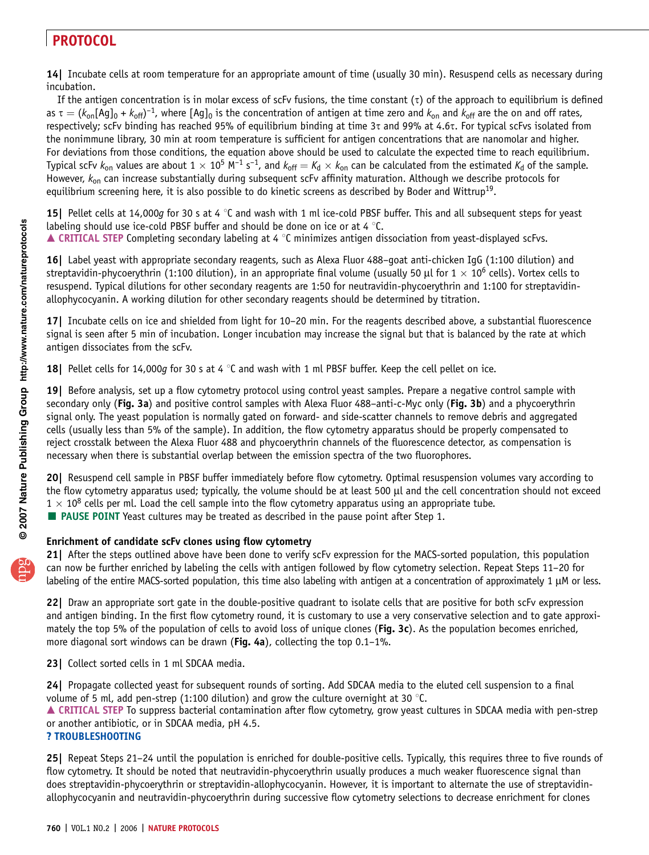14| Incubate cells at room temperature for an appropriate amount of time (usually 30 min). Resuspend cells as necessary during incubation.

If the antigen concentration is in molar excess of scFv fusions, the time constant  $(\tau)$  of the approach to equilibrium is defined as  $\tau = (k_{on}[Ag]_0 + k_{off})^{-1}$ , where  $[Ag]_0$  is the concentration of antigen at time zero and  $k_{on}$  and  $k_{off}$  are the on and off rates, respectively; scFv binding has reached 95% of equilibrium binding at time  $3\tau$  and 99% at 4.6 $\tau$ . For typical scFvs isolated from the nonimmune library, 30 min at room temperature is sufficient for antigen concentrations that are nanomolar and higher. For deviations from those conditions, the equation above should be used to calculate the expected time to reach equilibrium. Typical scFv  $k_{on}$  values are about  $1 \times 10^5$  M<sup>-1</sup> s<sup>-1</sup>, and  $k_{off} = K_d \times k_{on}$  can be calculated from the estimated  $K_d$  of the sample. However,  $k_{on}$  can increase substantially during subsequent scFv affinity maturation. Although we describe protocols for equilibrium screening here, it is also possible to do kinetic screens as described by Boder and Wittrup<sup>19</sup>.

**15** Pellet cells at 14,000g for 30 s at 4  $\degree$ C and wash with 1 ml ice-cold PBSF buffer. This and all subsequent steps for yeast labeling should use ice-cold PBSF buffer and should be done on ice or at 4  $\degree$ C.  $\blacktriangle$  CRITICAL STEP Completing secondary labeling at 4 °C minimizes antigen dissociation from yeast-displayed scFvs.

16| Label yeast with appropriate secondary reagents, such as Alexa Fluor 488–goat anti-chicken IgG (1:100 dilution) and streptavidin-phycoerythrin (1:100 dilution), in an appropriate final volume (usually 50 µl for  $1 \times 10^6$  cells). Vortex cells to resuspend. Typical dilutions for other secondary reagents are 1:50 for neutravidin-phycoerythrin and 1:100 for streptavidinallophycocyanin. A working dilution for other secondary reagents should be determined by titration.

17| Incubate cells on ice and shielded from light for 10–20 min. For the reagents described above, a substantial fluorescence signal is seen after 5 min of incubation. Longer incubation may increase the signal but that is balanced by the rate at which antigen dissociates from the scFv.

18| Pellet cells for 14,000g for 30 s at 4  $\degree$ C and wash with 1 ml PBSF buffer. Keep the cell pellet on ice.

19| Before analysis, set up a flow cytometry protocol using control yeast samples. Prepare a negative control sample with secondary only (Fig. 3a) and positive control samples with Alexa Fluor 488-anti-c-Myc only (Fig. 3b) and a phycoerythrin signal only. The yeast population is normally gated on forward- and side-scatter channels to remove debris and aggregated cells (usually less than 5% of the sample). In addition, the flow cytometry apparatus should be properly compensated to reject crosstalk between the Alexa Fluor 488 and phycoerythrin channels of the fluorescence detector, as compensation is necessary when there is substantial overlap between the emission spectra of the two fluorophores.

20| Resuspend cell sample in PBSF buffer immediately before flow cytometry. Optimal resuspension volumes vary according to the flow cytometry apparatus used; typically, the volume should be at least 500 µl and the cell concentration should not exceed  $1 \times 10^8$  cells per ml. Load the cell sample into the flow cytometry apparatus using an appropriate tube.

**PAUSE POINT** Yeast cultures may be treated as described in the pause point after Step 1.

### Enrichment of candidate scFv clones using flow cytometry

21| After the steps outlined above have been done to verify scFv expression for the MACS-sorted population, this population can now be further enriched by labeling the cells with antigen followed by flow cytometry selection. Repeat Steps 11–20 for labeling of the entire MACS-sorted population, this time also labeling with antigen at a concentration of approximately  $1 \mu M$  or less.

22| Draw an appropriate sort gate in the double-positive quadrant to isolate cells that are positive for both scFv expression and antigen binding. In the first flow cytometry round, it is customary to use a very conservative selection and to gate approximately the top 5% of the population of cells to avoid loss of unique clones (Fig. 3c). As the population becomes enriched, more diagonal sort windows can be drawn (Fig. 4a), collecting the top 0.1-1%.

23 | Collect sorted cells in 1 ml SDCAA media.

24| Propagate collected yeast for subsequent rounds of sorting. Add SDCAA media to the eluted cell suspension to a final volume of 5 ml, add pen-strep (1:100 dilution) and grow the culture overnight at 30  $\degree$ C.

▲ CRITICAL STEP To suppress bacterial contamination after flow cytometry, grow yeast cultures in SDCAA media with pen-strep or another antibiotic, or in SDCAA media, pH 4.5.

### ? TROUBLESHOOTING

25| Repeat Steps 21–24 until the population is enriched for double-positive cells. Typically, this requires three to five rounds of flow cytometry. It should be noted that neutravidin-phycoerythrin usually produces a much weaker fluorescence signal than does streptavidin-phycoerythrin or streptavidin-allophycocyanin. However, it is important to alternate the use of streptavidinallophycocyanin and neutravidin-phycoerythrin during successive flow cytometry selections to decrease enrichment for clones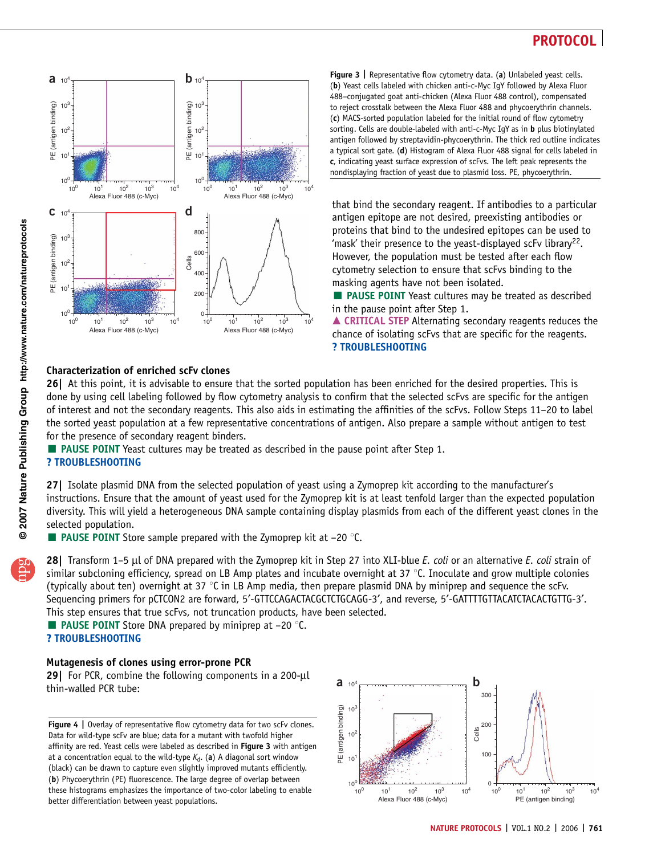

Figure 3 | Representative flow cytometry data. (a) Unlabeled yeast cells. (b) Yeast cells labeled with chicken anti-c-Myc IgY followed by Alexa Fluor 488–conjugated goat anti-chicken (Alexa Fluor 488 control), compensated to reject crosstalk between the Alexa Fluor 488 and phycoerythrin channels. (c) MACS-sorted population labeled for the initial round of flow cytometry sorting. Cells are double-labeled with anti-c-Myc IqY as in **b** plus biotinylated antigen followed by streptavidin-phycoerythrin. The thick red outline indicates a typical sort gate. (d) Histogram of Alexa Fluor 488 signal for cells labeled in c, indicating yeast surface expression of scFvs. The left peak represents the nondisplaying fraction of yeast due to plasmid loss. PE, phycoerythrin.

that bind the secondary reagent. If antibodies to a particular antigen epitope are not desired, preexisting antibodies or proteins that bind to the undesired epitopes can be used to 'mask' their presence to the yeast-displayed scFv library<sup>22</sup>. However, the population must be tested after each flow cytometry selection to ensure that scFvs binding to the masking agents have not been isolated.

**EXTERNATE:** PAUSE POINT Yeast cultures may be treated as described in the pause point after Step 1.

▲ CRITICAL STEP Alternating secondary reagents reduces the chance of isolating scFvs that are specific for the reagents. ? TROUBLESHOOTING

### Characterization of enriched scFv clones

26| At this point, it is advisable to ensure that the sorted population has been enriched for the desired properties. This is done by using cell labeling followed by flow cytometry analysis to confirm that the selected scFvs are specific for the antigen of interest and not the secondary reagents. This also aids in estimating the affinities of the scFvs. Follow Steps 11–20 to label the sorted yeast population at a few representative concentrations of antigen. Also prepare a sample without antigen to test for the presence of secondary reagent binders.

PAUSE POINT Yeast cultures may be treated as described in the pause point after Step 1.

### ? TROUBLESHOOTING

27| Isolate plasmid DNA from the selected population of yeast using a Zymoprep kit according to the manufacturer's instructions. Ensure that the amount of yeast used for the Zymoprep kit is at least tenfold larger than the expected population diversity. This will yield a heterogeneous DNA sample containing display plasmids from each of the different yeast clones in the selected population.

 $\blacksquare$  **PAUSE POINT** Store sample prepared with the Zymoprep kit at -20 °C.

28| Transform 1–5 µl of DNA prepared with the Zymoprep kit in Step 27 into XLI-blue E. coli or an alternative E. coli strain of similar subcloning efficiency, spread on LB Amp plates and incubate overnight at 37  $\degree$ C. Inoculate and grow multiple colonies (typically about ten) overnight at 37  $\degree$ C in LB Amp media, then prepare plasmid DNA by miniprep and sequence the scFv. Sequencing primers for pCTCON2 are forward, 5'-GTTCCAGACTACGCTCTGCAGG-3', and reverse, 5'-GATTTTGTTACATCTACACTGTTG-3'. This step ensures that true scFvs, not truncation products, have been selected.

**PAUSE POINT** Store DNA prepared by miniprep at  $-20$  °C. ? TROUBLESHOOTING

### Mutagenesis of clones using error-prone PCR

29 For PCR, combine the following components in a 200-µl thin-walled PCR tube:

Figure 4 | Overlay of representative flow cytometry data for two scFv clones. Data for wild-type scFv are blue; data for a mutant with twofold higher affinity are red. Yeast cells were labeled as described in Figure 3 with antigen at a concentration equal to the wild-type  $K_d$ . (a) A diagonal sort window (black) can be drawn to capture even slightly improved mutants efficiently. (b) Phycoerythrin (PE) fluorescence. The large degree of overlap between these histograms emphasizes the importance of two-color labeling to enable better differentiation between yeast populations.

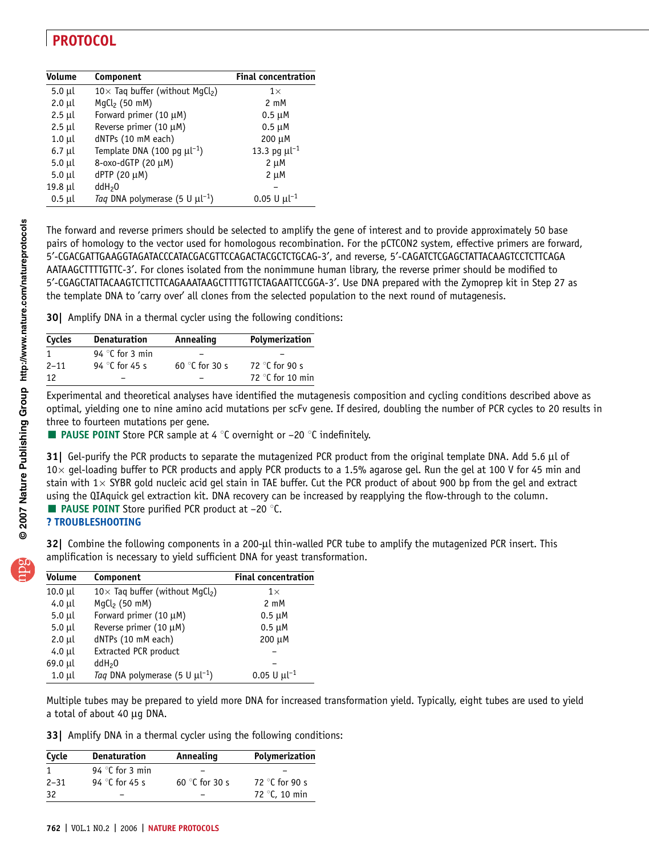| <b>Volume</b><br>Component      |                                                     | <b>Final concentration</b>   |
|---------------------------------|-----------------------------------------------------|------------------------------|
| $5.0 \mu l$                     | 10 $\times$ Taq buffer (without MgCl <sub>2</sub> ) | $1\times$                    |
| $2.0$ $\mu$                     | $MgCl2$ (50 mM)                                     | $2 \text{ mM}$               |
| $2.5$ µl                        | Forward primer (10 µM)                              | $0.5 \mu M$                  |
| $2.5$ µl                        | Reverse primer (10 µM)                              | $0.5 \mu M$                  |
| $1.0 \mu l$                     | dNTPs (10 mM each)                                  | 200 µM                       |
| $6.7 \mu l$                     | Template DNA (100 pg $\mu l^{-1}$ )                 | 13.3 pg $\mu l^{-1}$         |
| $5.0 \mu l$                     | 8-oxo-dGTP (20 μM)                                  | $2 \mu M$                    |
| $5.0 \mu l$                     | dPTP (20 μM)                                        | $2 \mu M$                    |
| $19.8$ µl<br>ddH <sub>2</sub> O |                                                     |                              |
| $0.5$ µl                        | Taq DNA polymerase (5 U $\mu$ l <sup>-1</sup> )     | $0.05 \text{ U } \mu l^{-1}$ |

The forward and reverse primers should be selected to amplify the gene of interest and to provide approximately 50 base pairs of homology to the vector used for homologous recombination. For the pCTCON2 system, effective primers are forward, 5¢-CGACGATTGAAGGTAGATACCCATACGACGTTCCAGACTACGCTCTGCAG-3¢, and reverse, 5¢-CAGATCTCGAGCTATTACAAGTCCTCTTCAGA AATAAGCTTTTGTTC-3¢. For clones isolated from the nonimmune human library, the reverse primer should be modified to 5¢-CGAGCTATTACAAGTCTTCTTCAGAAATAAGCTTTTGTTCTAGAATTCCGGA-3¢. Use DNA prepared with the Zymoprep kit in Step 27 as the template DNA to 'carry over' all clones from the selected population to the next round of mutagenesis.

30| Amplify DNA in a thermal cycler using the following conditions:

| Cycles   | <b>Denaturation</b>      | Annealing               | Polymerization            |
|----------|--------------------------|-------------------------|---------------------------|
| 1        | 94 $\degree$ C for 3 min |                         |                           |
| $2 - 11$ | 94 °C for 45 s           | 60 $\degree$ C for 30 s | 72 $\degree$ C for 90 s   |
| 12       |                          |                         | 72 $\degree$ C for 10 min |

Experimental and theoretical analyses have identified the mutagenesis composition and cycling conditions described above as optimal, yielding one to nine amino acid mutations per scFv gene. If desired, doubling the number of PCR cycles to 20 results in three to fourteen mutations per gene.

**PAUSE POINT** Store PCR sample at 4  $\degree$ C overnight or  $-20 \degree$ C indefinitely.

31| Gel-purify the PCR products to separate the mutagenized PCR product from the original template DNA. Add 5.6 µl of  $10\times$  gel-loading buffer to PCR products and apply PCR products to a 1.5% agarose gel. Run the gel at 100 V for 45 min and stain with  $1 \times$  SYBR gold nucleic acid gel stain in TAE buffer. Cut the PCR product of about 900 bp from the gel and extract using the QIAquick gel extraction kit. DNA recovery can be increased by reapplying the flow-through to the column. **PAUSE POINT** Store purified PCR product at  $-20$  °C.

? TROUBLESHOOTING

32| Combine the following components in a 200-µl thin-walled PCR tube to amplify the mutagenized PCR insert. This amplification is necessary to yield sufficient DNA for yeast transformation.

| <b>Volume</b> | Component                                          | <b>Final concentration</b>   |
|---------------|----------------------------------------------------|------------------------------|
| $10.0$ µl     | $10\times$ Taq buffer (without MgCl <sub>2</sub> ) | $1\times$                    |
| $4.0$ µl      | $MgCl2$ (50 mM)                                    | $2 \text{ mM}$               |
| $5.0 \mu l$   | Forward primer $(10 \mu M)$                        | $0.5 \mu M$                  |
| $5.0 \mu l$   | Reverse primer (10 µM)                             | $0.5 \mu M$                  |
| $2.0$ µl      | dNTPs (10 mM each)                                 | 200 µM                       |
| 4.0 µl        | <b>Extracted PCR product</b>                       |                              |
| 69.0 µl       | ddH <sub>2</sub> 0                                 |                              |
| $1.0 \mu l$   | Taq DNA polymerase (5 U $\mu$ l <sup>-1</sup> )    | $0.05 \text{ U } \mu l^{-1}$ |

Multiple tubes may be prepared to yield more DNA for increased transformation yield. Typically, eight tubes are used to yield a total of about 40 µg DNA.

33| Amplify DNA in a thermal cycler using the following conditions:

| Cycle    | <b>Denaturation</b>      | Annealing               | Polymerization          |
|----------|--------------------------|-------------------------|-------------------------|
|          | 94 $\degree$ C for 3 min |                         |                         |
| $2 - 31$ | 94 °C for 45 s           | 60 $\degree$ C for 30 s | 72 $\degree$ C for 90 s |
| -32      |                          |                         | 72 °C, 10 min           |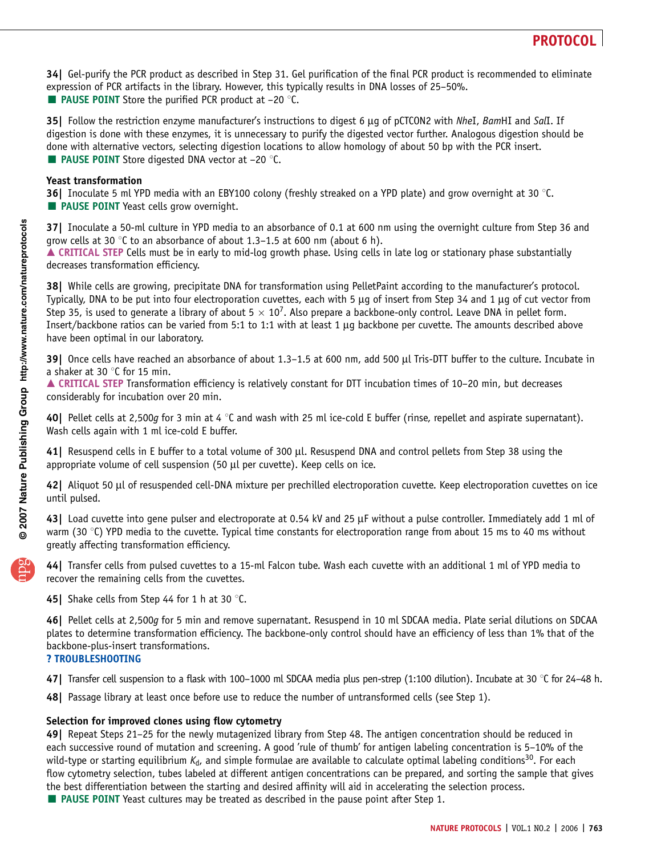34| Gel-purify the PCR product as described in Step 31. Gel purification of the final PCR product is recommended to eliminate expression of PCR artifacts in the library. However, this typically results in DNA losses of 25–50%. **E** PAUSE POINT Store the purified PCR product at  $-20$  °C.

35| Follow the restriction enzyme manufacturer's instructions to digest 6 µg of pCTCON2 with NheI, BamHI and SalI. If digestion is done with these enzymes, it is unnecessary to purify the digested vector further. Analogous digestion should be done with alternative vectors, selecting digestion locations to allow homology of about 50 bp with the PCR insert. **E** PAUSE POINT Store digested DNA vector at  $-20$  °C.

### Yeast transformation

**36** Inoculate 5 ml YPD media with an EBY100 colony (freshly streaked on a YPD plate) and grow overnight at 30 °C. **PAUSE POINT** Yeast cells grow overnight.

37| Inoculate a 50-ml culture in YPD media to an absorbance of 0.1 at 600 nm using the overnight culture from Step 36 and grow cells at 30 °C to an absorbance of about 1.3–1.5 at 600 nm (about 6 h).

 $\triangle$  CRITICAL STEP Cells must be in early to mid-log growth phase. Using cells in late log or stationary phase substantially decreases transformation efficiency.

38| While cells are growing, precipitate DNA for transformation using PelletPaint according to the manufacturer's protocol. Typically, DNA to be put into four electroporation cuvettes, each with 5  $\mu$ q of insert from Step 34 and 1  $\mu$ q of cut vector from Step 35, is used to generate a library of about  $5 \times 10^7$ . Also prepare a backbone-only control. Leave DNA in pellet form. Insert/backbone ratios can be varied from 5:1 to 1:1 with at least 1  $\mu$ q backbone per cuvette. The amounts described above have been optimal in our laboratory.

39| Once cells have reached an absorbance of about 1.3–1.5 at 600 nm, add 500 µl Tris-DTT buffer to the culture. Incubate in a shaker at 30 $\degree$ C for 15 min.

▲ CRITICAL STEP Transformation efficiency is relatively constant for DTT incubation times of 10–20 min, but decreases considerably for incubation over 20 min.

40 | Pellet cells at 2,500 $q$  for 3 min at 4  $\degree$ C and wash with 25 ml ice-cold E buffer (rinse, repellet and aspirate supernatant). Wash cells again with 1 ml ice-cold E buffer.

41| Resuspend cells in E buffer to a total volume of 300 µl. Resuspend DNA and control pellets from Step 38 using the appropriate volume of cell suspension (50 µl per cuvette). Keep cells on ice.

42| Aliquot 50 µl of resuspended cell-DNA mixture per prechilled electroporation cuvette. Keep electroporation cuvettes on ice until pulsed.

43 Load cuvette into gene pulser and electroporate at 0.54 kV and 25 µF without a pulse controller. Immediately add 1 ml of warm (30  $\degree$ C) YPD media to the cuvette. Typical time constants for electroporation range from about 15 ms to 40 ms without greatly affecting transformation efficiency.

44| Transfer cells from pulsed cuvettes to a 15-ml Falcon tube. Wash each cuvette with an additional 1 ml of YPD media to recover the remaining cells from the cuvettes.

45| Shake cells from Step 44 for 1 h at 30  $\degree$ C.

46| Pellet cells at 2,500g for 5 min and remove supernatant. Resuspend in 10 ml SDCAA media. Plate serial dilutions on SDCAA plates to determine transformation efficiency. The backbone-only control should have an efficiency of less than 1% that of the backbone-plus-insert transformations.

### ? TROUBLESHOOTING

- 47 Transfer cell suspension to a flask with 100–1000 ml SDCAA media plus pen-strep (1:100 dilution). Incubate at 30 °C for 24–48 h.
- 48| Passage library at least once before use to reduce the number of untransformed cells (see Step 1).

### Selection for improved clones using flow cytometry

49| Repeat Steps 21–25 for the newly mutagenized library from Step 48. The antigen concentration should be reduced in each successive round of mutation and screening. A good 'rule of thumb' for antigen labeling concentration is 5–10% of the wild-type or starting equilibrium  $K_d$ , and simple formulae are available to calculate optimal labeling conditions<sup>30</sup>. For each flow cytometry selection, tubes labeled at different antigen concentrations can be prepared, and sorting the sample that gives the best differentiation between the starting and desired affinity will aid in accelerating the selection process.

**PAUSE POINT** Yeast cultures may be treated as described in the pause point after Step 1.

**puor G gni h isl buP er ut a N 7002**

**@** 2007 Nature Publishing Group http://www.nature.com/natureprotocols **w w//: ptt h**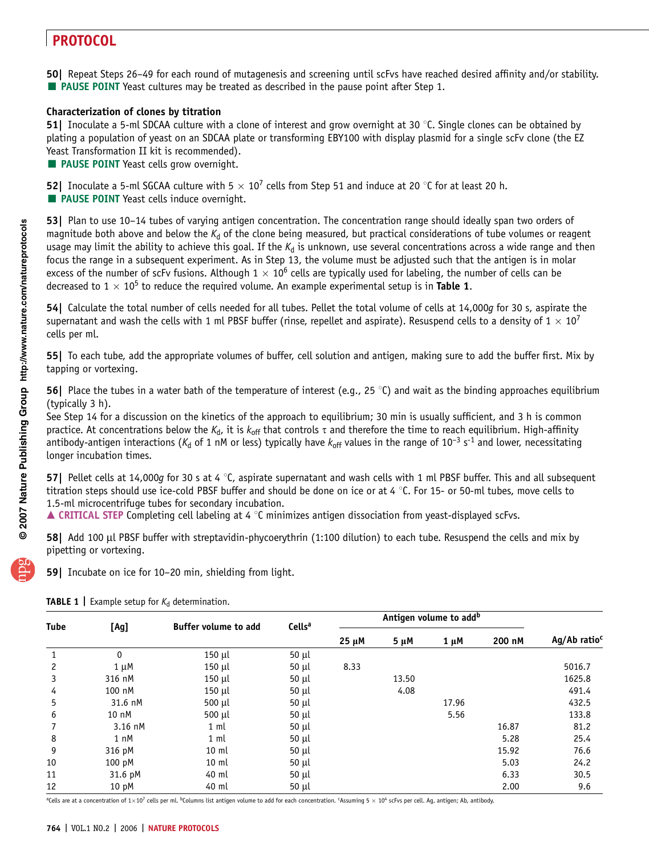50| Repeat Steps 26–49 for each round of mutagenesis and screening until scFvs have reached desired affinity and/or stability. **PAUSE POINT** Yeast cultures may be treated as described in the pause point after Step 1.

### Characterization of clones by titration

51| Inoculate a 5-ml SDCAA culture with a clone of interest and grow overnight at 30  $\degree$ C. Single clones can be obtained by plating a population of yeast on an SDCAA plate or transforming EBY100 with display plasmid for a single scFv clone (the EZ Yeast Transformation II kit is recommended).

**PAUSE POINT** Yeast cells grow overnight.

**52** Inoculate a 5-ml SGCAA culture with  $5 \times 10^7$  cells from Step 51 and induce at 20 °C for at least 20 h. **PAUSE POINT** Yeast cells induce overnight.

53| Plan to use 10–14 tubes of varying antigen concentration. The concentration range should ideally span two orders of magnitude both above and below the  $K_d$  of the clone being measured, but practical considerations of tube volumes or reagent usage may limit the ability to achieve this goal. If the  $K_d$  is unknown, use several concentrations across a wide range and then focus the range in a subsequent experiment. As in Step 13, the volume must be adjusted such that the antigen is in molar excess of the number of scFv fusions. Although  $1 \times 10^6$  cells are typically used for labeling, the number of cells can be decreased to  $1 \times 10^5$  to reduce the required volume. An example experimental setup is in Table 1.

54| Calculate the total number of cells needed for all tubes. Pellet the total volume of cells at 14,000g for 30 s, aspirate the supernatant and wash the cells with 1 ml PBSF buffer (rinse, repellet and aspirate). Resuspend cells to a density of  $1 \times 10^7$ cells per ml.

55| To each tube, add the appropriate volumes of buffer, cell solution and antigen, making sure to add the buffer first. Mix by tapping or vortexing.

**56** Place the tubes in a water bath of the temperature of interest (e.g., 25 °C) and wait as the binding approaches equilibrium (typically 3 h).

See Step 14 for a discussion on the kinetics of the approach to equilibrium; 30 min is usually sufficient, and 3 h is common practice. At concentrations below the  $K_d$ , it is  $k_{off}$  that controls  $\tau$  and therefore the time to reach equilibrium. High-affinity antibody-antigen interactions ( $K_d$  of 1 nM or less) typically have  $k_{off}$  values in the range of 10<sup>-3</sup> s<sup>-1</sup> and lower, necessitating longer incubation times.

57| Pellet cells at 14,000g for 30 s at 4  $\degree$ C, aspirate supernatant and wash cells with 1 ml PBSF buffer. This and all subsequent titration steps should use ice-cold PBSF buffer and should be done on ice or at 4  $\degree$ C. For 15- or 50-ml tubes, move cells to 1.5-ml microcentrifuge tubes for secondary incubation.

 $\blacktriangle$  CRITICAL STEP Completing cell labeling at 4  $^{\circ}$ C minimizes antigen dissociation from yeast-displayed scFvs.

58| Add 100 µl PBSF buffer with streptavidin-phycoerythrin (1:100 dilution) to each tube. Resuspend the cells and mix by pipetting or vortexing.

59| Incubate on ice for 10–20 min, shielding from light.

| Tube           | [Ag]             | <b>Buffer volume to add</b> | Cells <sup>a</sup> | Antigen volume to add <sup>b</sup> |           |           |        |                          |
|----------------|------------------|-----------------------------|--------------------|------------------------------------|-----------|-----------|--------|--------------------------|
|                |                  |                             |                    | $25 \mu M$                         | $5 \mu M$ | $1 \mu M$ | 200 nM | Ag/Ab ratio <sup>c</sup> |
| $\mathbf{1}$   | $\mathbf{0}$     | $150$ µl                    | $50 \mu l$         |                                    |           |           |        |                          |
| $\overline{c}$ | $1 \mu M$        | $150$ µl                    | $50 \mu l$         | 8.33                               |           |           |        | 5016.7                   |
| 3              | 316 nM           | $150$ µl                    | $50 \mu l$         |                                    | 13.50     |           |        | 1625.8                   |
| 4              | 100 nM           | $150$ µl                    | $50 \mu l$         |                                    | 4.08      |           |        | 491.4                    |
| 5              | 31.6 nM          | 500 µl                      | $50 \mu l$         |                                    |           | 17.96     |        | 432.5                    |
| 6              | 10 nM            | 500 µl                      | $50 \mu l$         |                                    |           | 5.56      |        | 133.8                    |
| 7              | 3.16 nM          | 1 <sub>m</sub>              | $50 \mu l$         |                                    |           |           | 16.87  | 81.2                     |
| 8              | 1 nM             | 1 <sub>m</sub>              | $50 \mu l$         |                                    |           |           | 5.28   | 25.4                     |
| 9              | 316 pM           | $10 \text{ ml}$             | $50 \mu l$         |                                    |           |           | 15.92  | 76.6                     |
| 10             | 100 pM           | $10 \text{ ml}$             | $50 \mu l$         |                                    |           |           | 5.03   | 24.2                     |
| 11             | 31.6 pM          | 40 ml                       | $50 \mu l$         |                                    |           |           | 6.33   | 30.5                     |
| 12             | 10 <sub>pM</sub> | 40 ml                       | $50 \mu l$         |                                    |           |           | 2.00   | 9.6                      |

**TABLE 1** Example setup for  $K_d$  determination.

<sup>a</sup>Cells are at a concentration of 1×10<sup>7</sup> cells per ml. <sup>b</sup>Columns list antigen volume to add for each concentration. <sup>c</sup>Assuming 5 × 10<sup>4</sup> scFvs per cell. Ag, antigen; Ab, antibody.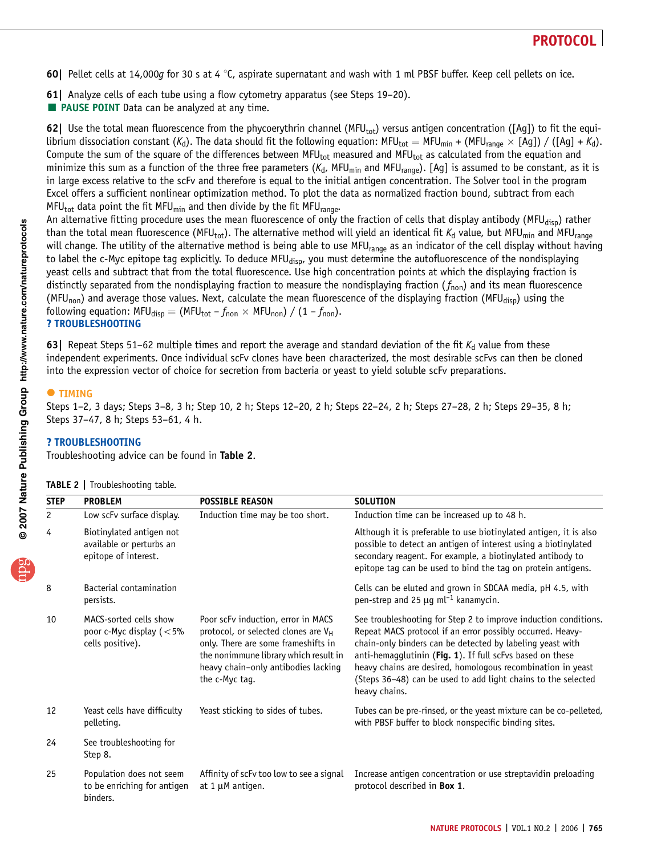- 60| Pellet cells at 14,000g for 30 s at 4  $\degree$ C, aspirate supernatant and wash with 1 ml PBSF buffer. Keep cell pellets on ice.
- 61| Analyze cells of each tube using a flow cytometry apparatus (see Steps 19–20).
- **E** PAUSE POINT Data can be analyzed at any time.

62| Use the total mean fluorescence from the phycoerythrin channel (MFU<sub>tot</sub>) versus antigen concentration ([Ag]) to fit the equilibrium dissociation constant (K<sub>d</sub>). The data should fit the following equation: MFU<sub>tot</sub> = MFU<sub>min</sub> + (MFU<sub>range</sub> × [Ag]) / ([Ag] + K<sub>d</sub>). Compute the sum of the square of the differences between MFU<sub>tot</sub> measured and MFU<sub>tot</sub> as calculated from the equation and minimize this sum as a function of the three free parameters ( $K_d$ , MFU<sub>min</sub> and MFU<sub>range</sub>). [Ag] is assumed to be constant, as it is in large excess relative to the scFv and therefore is equal to the initial antigen concentration. The Solver tool in the program Excel offers a sufficient nonlinear optimization method. To plot the data as normalized fraction bound, subtract from each MFU<sub>tot</sub> data point the fit MFU<sub>min</sub> and then divide by the fit MFU<sub>range</sub>.

An alternative fitting procedure uses the mean fluorescence of only the fraction of cells that display antibody (MFU<sub>disp</sub>) rather than the total mean fluorescence (MFU<sub>tot</sub>). The alternative method will yield an identical fit K<sub>d</sub> value, but MFU<sub>min</sub> and MFU<sub>range</sub> will change. The utility of the alternative method is being able to use MFU<sub>range</sub> as an indicator of the cell display without having to label the c-Myc epitope tag explicitly. To deduce MFU<sub>disp</sub>, you must determine the autofluorescence of the nondisplaying yeast cells and subtract that from the total fluorescence. Use high concentration points at which the displaying fraction is distinctly separated from the nondisplaying fraction to measure the nondisplaying fraction  $(f_{\text{non}})$  and its mean fluorescence (MFU<sub>non</sub>) and average those values. Next, calculate the mean fluorescence of the displaying fraction (MFU<sub>disp</sub>) using the following equation: MFU<sub>disp</sub> = (MFU<sub>tot</sub> –  $f_{\text{non}} \times$  MFU<sub>non</sub>) / (1 –  $f_{\text{non}}$ ). ? TROUBLESHOOTING

63| Repeat Steps 51–62 multiple times and report the average and standard deviation of the fit  $K_d$  value from these independent experiments. Once individual scFv clones have been characterized, the most desirable scFvs can then be cloned into the expression vector of choice for secretion from bacteria or yeast to yield soluble scFv preparations.

### $\bullet$  **TIMING**

Steps 1–2, 3 days; Steps 3–8, 3 h; Step 10, 2 h; Steps 12–20, 2 h; Steps 22–24, 2 h; Steps 27–28, 2 h; Steps 29–35, 8 h; Steps 37–47, 8 h; Steps 53–61, 4 h.

### ? TROUBLESHOOTING

Troubleshooting advice can be found in Table 2.

| <b>STEP</b>    | <b>PROBLEM</b>                                                               | <b>POSSIBLE REASON</b>                                                                                                                                                                                                         | <b>SOLUTION</b>                                                                                                                                                                                                                                                                                                                                                                                          |
|----------------|------------------------------------------------------------------------------|--------------------------------------------------------------------------------------------------------------------------------------------------------------------------------------------------------------------------------|----------------------------------------------------------------------------------------------------------------------------------------------------------------------------------------------------------------------------------------------------------------------------------------------------------------------------------------------------------------------------------------------------------|
| $\overline{c}$ | Low scFv surface display.                                                    | Induction time may be too short.                                                                                                                                                                                               | Induction time can be increased up to 48 h.                                                                                                                                                                                                                                                                                                                                                              |
| 4              | Biotinylated antigen not<br>available or perturbs an<br>epitope of interest. |                                                                                                                                                                                                                                | Although it is preferable to use biotinylated antigen, it is also<br>possible to detect an antigen of interest using a biotinylated<br>secondary reagent. For example, a biotinylated antibody to<br>epitope tag can be used to bind the tag on protein antigens.                                                                                                                                        |
| 8              | Bacterial contamination<br>persists.                                         |                                                                                                                                                                                                                                | Cells can be eluted and grown in SDCAA media, pH 4.5, with<br>pen-strep and 25 $\mu$ g ml <sup>-1</sup> kanamycin.                                                                                                                                                                                                                                                                                       |
| 10             | MACS-sorted cells show<br>poor c-Myc display $(<5\%$<br>cells positive).     | Poor scFv induction, error in MACS<br>protocol, or selected clones are V <sub>H</sub><br>only. There are some frameshifts in<br>the nonimmune library which result in<br>heavy chain-only antibodies lacking<br>the c-Myc tag. | See troubleshooting for Step 2 to improve induction conditions.<br>Repeat MACS protocol if an error possibly occurred. Heavy-<br>chain-only binders can be detected by labeling yeast with<br>anti-hemagglutinin (Fig. 1). If full scFvs based on these<br>heavy chains are desired, homologous recombination in yeast<br>(Steps 36-48) can be used to add light chains to the selected<br>heavy chains. |
| 12             | Yeast cells have difficulty<br>pelleting.                                    | Yeast sticking to sides of tubes.                                                                                                                                                                                              | Tubes can be pre-rinsed, or the yeast mixture can be co-pelleted,<br>with PBSF buffer to block nonspecific binding sites.                                                                                                                                                                                                                                                                                |
| 24             | See troubleshooting for<br>Step 8.                                           |                                                                                                                                                                                                                                |                                                                                                                                                                                                                                                                                                                                                                                                          |
| 25             | Population does not seem<br>to be enriching for antigen<br>binders.          | Affinity of scFv too low to see a signal<br>at $1 \mu$ M antigen.                                                                                                                                                              | Increase antigen concentration or use streptavidin preloading<br>protocol described in Box 1.                                                                                                                                                                                                                                                                                                            |

TABLE 2 | Troubleshooting table.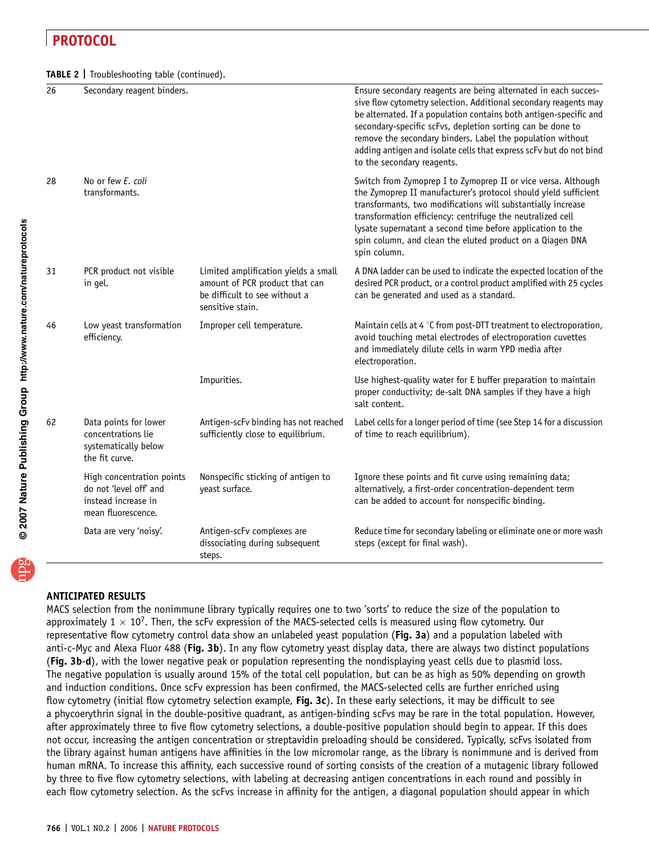TABLE 2 | Troubleshooting table (continued).

| 26 | Secondary reagent binders.                                                                       |                                                                                                                             | Ensure secondary reagents are being alternated in each succes-<br>sive flow cytometry selection. Additional secondary reagents may<br>be alternated. If a population contains both antigen-specific and<br>secondary-specific scFvs, depletion sorting can be done to<br>remove the secondary binders. Label the population without<br>adding antigen and isolate cells that express scFv but do not bind<br>to the secondary reagents. |
|----|--------------------------------------------------------------------------------------------------|-----------------------------------------------------------------------------------------------------------------------------|-----------------------------------------------------------------------------------------------------------------------------------------------------------------------------------------------------------------------------------------------------------------------------------------------------------------------------------------------------------------------------------------------------------------------------------------|
| 28 | No or few E. coli<br>transformants.                                                              |                                                                                                                             | Switch from Zymoprep I to Zymoprep II or vice versa. Although<br>the Zymoprep II manufacturer's protocol should yield sufficient<br>transformants, two modifications will substantially increase<br>transformation efficiency: centrifuge the neutralized cell<br>lysate supernatant a second time before application to the<br>spin column, and clean the eluted product on a Qiagen DNA<br>spin column.                               |
| 31 | PCR product not visible<br>in gel.                                                               | Limited amplification yields a small<br>amount of PCR product that can<br>be difficult to see without a<br>sensitive stain. | A DNA ladder can be used to indicate the expected location of the<br>desired PCR product, or a control product amplified with 25 cycles<br>can be generated and used as a standard.                                                                                                                                                                                                                                                     |
| 46 | Low yeast transformation<br>efficiency.                                                          | Improper cell temperature.                                                                                                  | Maintain cells at 4 °C from post-DTT treatment to electroporation,<br>avoid touching metal electrodes of electroporation cuvettes<br>and immediately dilute cells in warm YPD media after<br>electroporation.                                                                                                                                                                                                                           |
|    |                                                                                                  | Impurities.                                                                                                                 | Use highest-quality water for E buffer preparation to maintain<br>proper conductivity; de-salt DNA samples if they have a high<br>salt content.                                                                                                                                                                                                                                                                                         |
| 62 | Data points for lower<br>concentrations lie<br>systematically below<br>the fit curve.            | Antigen-scFv binding has not reached<br>sufficiently close to equilibrium.                                                  | Label cells for a longer period of time (see Step 14 for a discussion<br>of time to reach equilibrium).                                                                                                                                                                                                                                                                                                                                 |
|    | High concentration points<br>do not 'level off' and<br>instead increase in<br>mean fluorescence. | Nonspecific sticking of antigen to<br>yeast surface.                                                                        | Ignore these points and fit curve using remaining data;<br>alternatively, a first-order concentration-dependent term<br>can be added to account for nonspecific binding.                                                                                                                                                                                                                                                                |
|    | Data are very 'noisy'.                                                                           | Antigen-scFv complexes are<br>dissociating during subsequent<br>steps.                                                      | Reduce time for secondary labeling or eliminate one or more wash<br>steps (except for final wash).                                                                                                                                                                                                                                                                                                                                      |

# **puor G gni h isl buP er ut a N 7002 @** 2007 Nature Publishing Group http://www.nature.com/natureprotocols

**w w//: ptt h**

ANTICIPATED RESULTS

MACS selection from the nonimmune library typically requires one to two 'sorts' to reduce the size of the population to approximately  $1 \times 10^7$ . Then, the scFv expression of the MACS-selected cells is measured using flow cytometry. Our representative flow cytometry control data show an unlabeled yeast population (Fig. 3a) and a population labeled with anti-c-Myc and Alexa Fluor 488 (Fig. 3b). In any flow cytometry yeast display data, there are always two distinct populations (Fig. 3b-d), with the lower negative peak or population representing the nondisplaying yeast cells due to plasmid loss. The negative population is usually around 15% of the total cell population, but can be as high as 50% depending on growth and induction conditions. Once scFv expression has been confirmed, the MACS-selected cells are further enriched using flow cytometry (initial flow cytometry selection example, Fig. 3c). In these early selections, it may be difficult to see a phycoerythrin signal in the double-positive quadrant, as antigen-binding scFvs may be rare in the total population. However, after approximately three to five flow cytometry selections, a double-positive population should begin to appear. If this does not occur, increasing the antigen concentration or streptavidin preloading should be considered. Typically, scFvs isolated from the library against human antigens have affinities in the low micromolar range, as the library is nonimmune and is derived from human mRNA. To increase this affinity, each successive round of sorting consists of the creation of a mutagenic library followed by three to five flow cytometry selections, with labeling at decreasing antigen concentrations in each round and possibly in each flow cytometry selection. As the scFvs increase in affinity for the antigen, a diagonal population should appear in which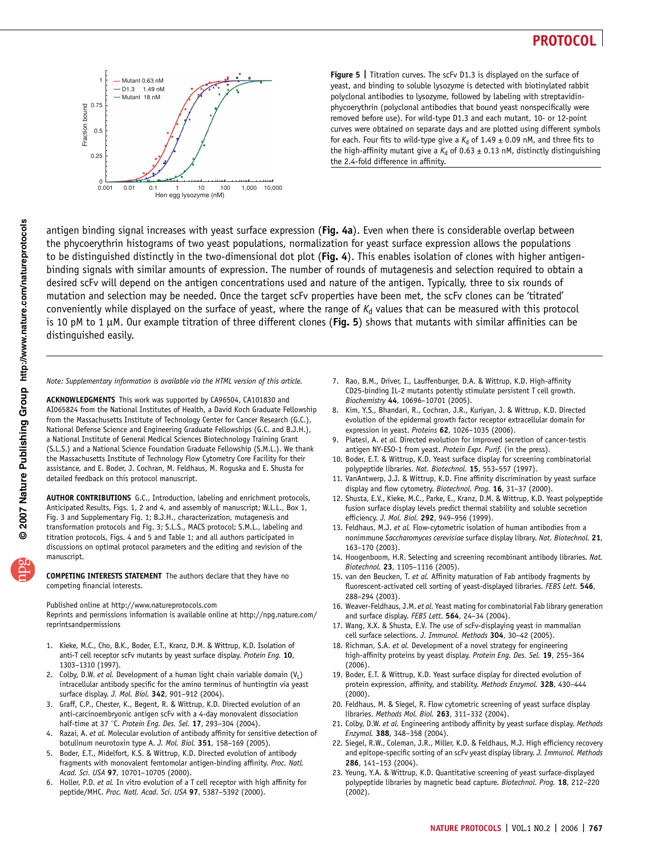

Figure 5 | Titration curves. The scFv D1.3 is displayed on the surface of yeast, and binding to soluble lysozyme is detected with biotinylated rabbit polyclonal antibodies to lysozyme, followed by labeling with streptavidinphycoerythrin (polyclonal antibodies that bound yeast nonspecifically were removed before use). For wild-type D1.3 and each mutant, 10- or 12-point curves were obtained on separate days and are plotted using different symbols for each. Four fits to wild-type give a  $K_d$  of 1.49  $\pm$  0.09 nM, and three fits to the high-affinity mutant give a  $K_d$  of 0.63  $\pm$  0.13 nM, distinctly distinguishing the 2.4-fold difference in affinity.

antigen binding signal increases with yeast surface expression (Fig. 4a). Even when there is considerable overlap between the phycoerythrin histograms of two yeast populations, normalization for yeast surface expression allows the populations to be distinguished distinctly in the two-dimensional dot plot (Fig. 4). This enables isolation of clones with higher antigenbinding signals with similar amounts of expression. The number of rounds of mutagenesis and selection required to obtain a desired scFv will depend on the antigen concentrations used and nature of the antigen. Typically, three to six rounds of mutation and selection may be needed. Once the target scFv properties have been met, the scFv clones can be 'titrated' conveniently while displayed on the surface of yeast, where the range of  $K_d$  values that can be measured with this protocol is 10 pM to 1  $\mu$ M. Our example titration of three different clones (Fig. 5) shows that mutants with similar affinities can be distinguished easily.

Note: Supplementary information is available via the HTML version of this article.

ACKNOWLEDGMENTS This work was supported by CA96504, CA101830 and AI065824 from the National Institutes of Health, a David Koch Graduate Fellowship from the Massachusetts Institute of Technology Center for Cancer Research (G.C.), National Defense Science and Engineering Graduate Fellowships (G.C. and B.J.H.), a National Institute of General Medical Sciences Biotechnology Training Grant (S.L.S.) and a National Science Foundation Graduate Fellowship (S.M.L.). We thank the Massachusetts Institute of Technology Flow Cytometry Core Facility for their assistance, and E. Boder, J. Cochran, M. Feldhaus, M. Roguska and E. Shusta for detailed feedback on this protocol manuscript.

AUTHOR CONTRIBUTIONS G.C., Introduction, labeling and enrichment protocols, Anticipated Results, Figs. 1, 2 and 4, and assembly of manuscript; W.L.L., Box 1, Fig. 3 and Supplementary Fig. 1; B.J.H., characterization, mutagenesis and transformation protocols and Fig. 3; S.L.S., MACS protocol; S.M.L., labeling and titration protocols, Figs. 4 and 5 and Table 1; and all authors participated in discussions on optimal protocol parameters and the editing and revision of the manuscript.

COMPETING INTERESTS STATEMENT The authors declare that they have no competing financial interests.

Published online at http://www.natureprotocols.com

Reprints and permissions information is available online at http://npg.nature.com/ reprintsandpermissions

- 1. Kieke, M.C., Cho, B.K., Boder, E.T., Kranz, D.M. & Wittrup, K.D. Isolation of anti-T cell receptor scFv mutants by yeast surface display. Protein Eng. 10, 1303–1310 (1997).
- 2. Colby, D.W. et al. Development of a human light chain variable domain  $(V_L)$ intracellular antibody specific for the amino terminus of huntingtin via yeast surface display. J. Mol. Biol. 342, 901-912 (2004).
- 3. Graff, C.P., Chester, K., Begent, R. & Wittrup, K.D. Directed evolution of an anti-carcinoembryonic antigen scFv with a 4-day monovalent dissociation half-time at 37 °C. Protein Eng. Des. Sel. 17, 293-304 (2004).
- 4. Razai, A. et al. Molecular evolution of antibody affinity for sensitive detection of botulinum neurotoxin type A. J. Mol. Biol. 351, 158–169 (2005).
- 5. Boder, E.T., Midelfort, K.S. & Wittrup, K.D. Directed evolution of antibody fragments with monovalent femtomolar antigen-binding affinity. Proc. Natl. Acad. Sci. USA 97, 10701–10705 (2000).
- 6. Holler, P.D. et al. In vitro evolution of a T cell receptor with high affinity for peptide/MHC. Proc. Natl. Acad. Sci. USA 97, 5387–5392 (2000).
- 7. Rao, B.M., Driver, I., Lauffenburger, D.A. & Wittrup, K.D. High-affinity CD25-binding IL-2 mutants potently stimulate persistent T cell growth. Biochemistry 44, 10696–10701 (2005).
- 8. Kim, Y.S., Bhandari, R., Cochran, J.R., Kuriyan, J. & Wittrup, K.D. Directed evolution of the epidermal growth factor receptor extracellular domain for expression in yeast. Proteins 62, 1026-1035 (2006).
- 9. Piatesi, A. et al. Directed evolution for improved secretion of cancer-testis antigen NY-ESO-1 from yeast. Protein Expr. Purif. (in the press).
- 10. Boder, E.T. & Wittrup, K.D. Yeast surface display for screening combinatorial polypeptide libraries. Nat. Biotechnol. 15, 553-557 (1997).
- 11. VanAntwerp, J.J. & Wittrup, K.D. Fine affinity discrimination by yeast surface display and flow cytometry. Biotechnol. Prog. 16, 31-37 (2000).
- 12. Shusta, E.V., Kieke, M.C., Parke, E., Kranz, D.M. & Wittrup, K.D. Yeast polypeptide fusion surface display levels predict thermal stability and soluble secretion efficiency. J. Mol. Biol. 292, 949-956 (1999).
- 13. Feldhaus, M.J. et al. Flow-cytometric isolation of human antibodies from a nonimmune Saccharomyces cerevisiae surface display library. Nat. Biotechnol. 21, 163–170 (2003).
- 14. Hoogenboom, H.R. Selecting and screening recombinant antibody libraries. Nat. Biotechnol. 23, 1105–1116 (2005).
- 15. van den Beucken, T. et al. Affinity maturation of Fab antibody fragments by fluorescent-activated cell sorting of yeast-displayed libraries. FEBS Lett. 546, 288–294 (2003).
- 16. Weaver-Feldhaus, J.M. et al. Yeast mating for combinatorial Fab library generation and surface display. FEBS Lett.  $564$ , 24-34 (2004).
- 17. Wang, X.X. & Shusta, E.V. The use of scFv-displaying yeast in mammalian cell surface selections. J. Immunol. Methods 304, 30–42 (2005).
- 18. Richman, S.A. et al. Development of a novel strategy for engineering high-affinity proteins by yeast display. Protein Eng. Des. Sel. 19, 255-364 (2006).
- 19. Boder, E.T. & Wittrup, K.D. Yeast surface display for directed evolution of protein expression, affinity, and stability. Methods Enzymol. 328, 430–444 (2000).
- 20. Feldhaus, M. & Siegel, R. Flow cytometric screening of yeast surface display libraries. Methods Mol. Biol. 263, 311–332 (2004).
- 21. Colby, D.W. et al. Engineering antibody affinity by yeast surface display. Methods Enzymol. 388, 348–358 (2004).
- 22. Siegel, R.W., Coleman, J.R., Miller, K.D. & Feldhaus, M.J. High efficiency recovery and epitope-specific sorting of an scFv yeast display library. J. Immunol. Methods 286, 141–153 (2004).
- 23. Yeung, Y.A. & Wittrup, K.D. Quantitative screening of yeast surface-displayed polypeptide libraries by magnetic bead capture. Biotechnol. Prog. 18, 212-220 (2002).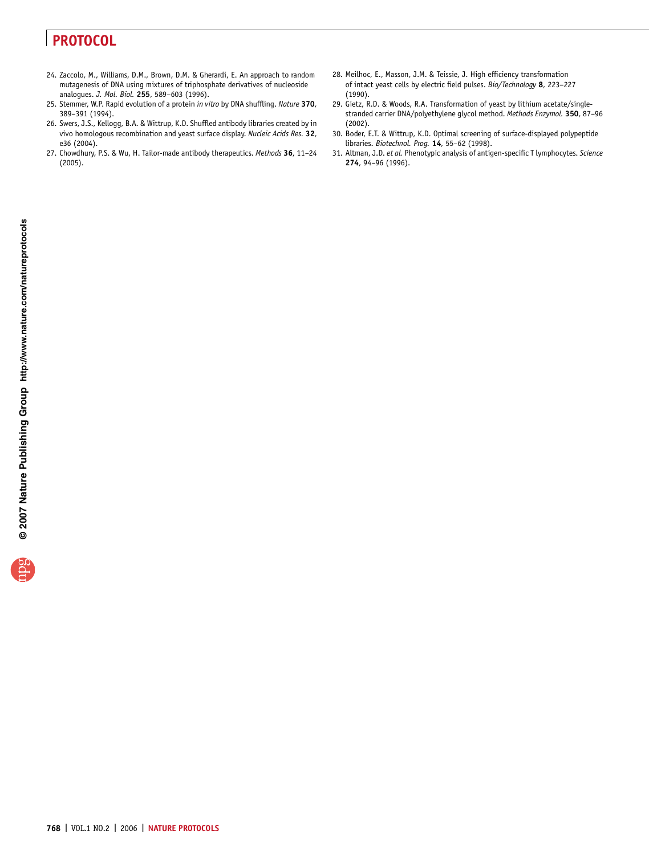- 24. Zaccolo, M., Williams, D.M., Brown, D.M. & Gherardi, E. An approach to random mutagenesis of DNA using mixtures of triphosphate derivatives of nucleoside analogues. J. Mol. Biol. 255, 589–603 (1996).
- 25. Stemmer, W.P. Rapid evolution of a protein in vitro by DNA shuffling. Nature 370, 389–391 (1994).
- 26. Swers, J.S., Kellogg, B.A. & Wittrup, K.D. Shuffled antibody libraries created by in vivo homologous recombination and yeast surface display. Nucleic Acids Res. 32, e36 (2004).
- 27. Chowdhury, P.S. & Wu, H. Tailor-made antibody therapeutics. Methods 36, 11–24 (2005).
- 28. Meilhoc, E., Masson, J.M. & Teissie, J. High efficiency transformation of intact yeast cells by electric field pulses. Bio/Technology 8, 223–227 (1990).
- 29. Gietz, R.D. & Woods, R.A. Transformation of yeast by lithium acetate/singlestranded carrier DNA/polyethylene glycol method. Methods Enzymol. 350, 87–96 (2002).
- 30. Boder, E.T. & Wittrup, K.D. Optimal screening of surface-displayed polypeptide libraries. Biotechnol. Prog. 14, 55–62 (1998).
- 31. Altman, J.D. et al. Phenotypic analysis of antigen-specific T lymphocytes. Science 274, 94–96 (1996).